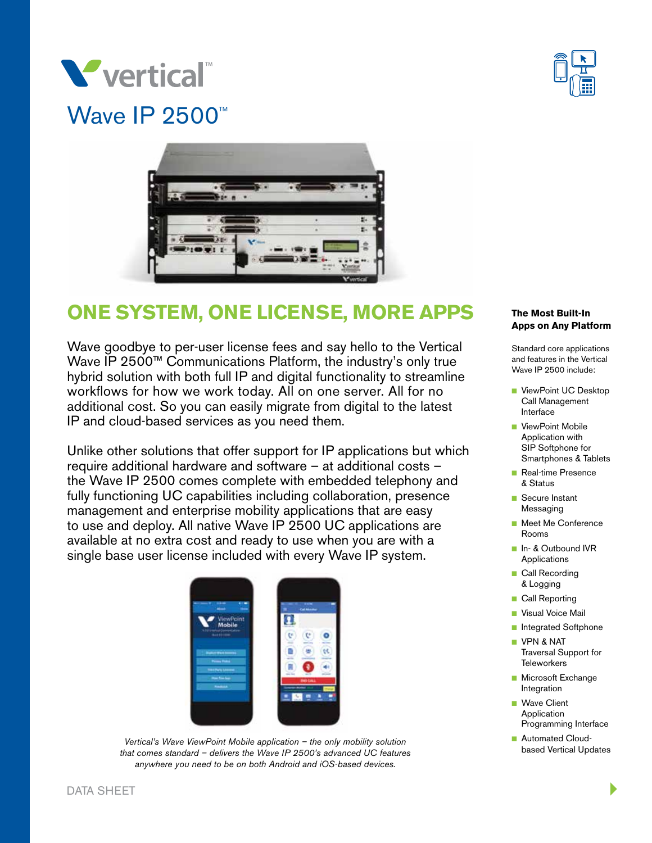





# **ONE SYSTEM, ONE LICENSE, MORE APPS**

Wave goodbye to per-user license fees and say hello to the Vertical Wave IP 2500™ Communications Platform, the industry's only true hybrid solution with both full IP and digital functionality to streamline workflows for how we work today. All on one server. All for no additional cost. So you can easily migrate from digital to the latest IP and cloud-based services as you need them.

Unlike other solutions that offer support for IP applications but which require additional hardware and software – at additional costs – the Wave IP 2500 comes complete with embedded telephony and fully functioning UC capabilities including collaboration, presence management and enterprise mobility applications that are easy to use and deploy. All native Wave IP 2500 UC applications are available at no extra cost and ready to use when you are with a single base user license included with every Wave IP system.



*Vertical's Wave ViewPoint Mobile application – the only mobility solution that comes standard – delivers the Wave IP 2500's advanced UC features anywhere you need to be on both Android and iOS-based devices.*

### **The Most Built-In Apps on Any Platform**

Standard core applications and features in the Vertical Wave IP 2500 include:

- ViewPoint UC Desktop Call Management Interface
- ViewPoint Mobile Application with SIP Softphone for Smartphones & Tablets
- **Real-time Presence** & Status
- Secure Instant Messaging
- Meet Me Conference Rooms
- n In- & Outbound IVR Applications
- **n** Call Recording & Logging
- **n** Call Reporting
- **N** Visual Voice Mail
- **n** Integrated Softphone
- **N** VPN & NAT Traversal Support for **Teleworkers**
- **n** Microsoft Exchange Integration
- **Nave Client** Application Programming Interface
- **n** Automated Cloudbased Vertical Updates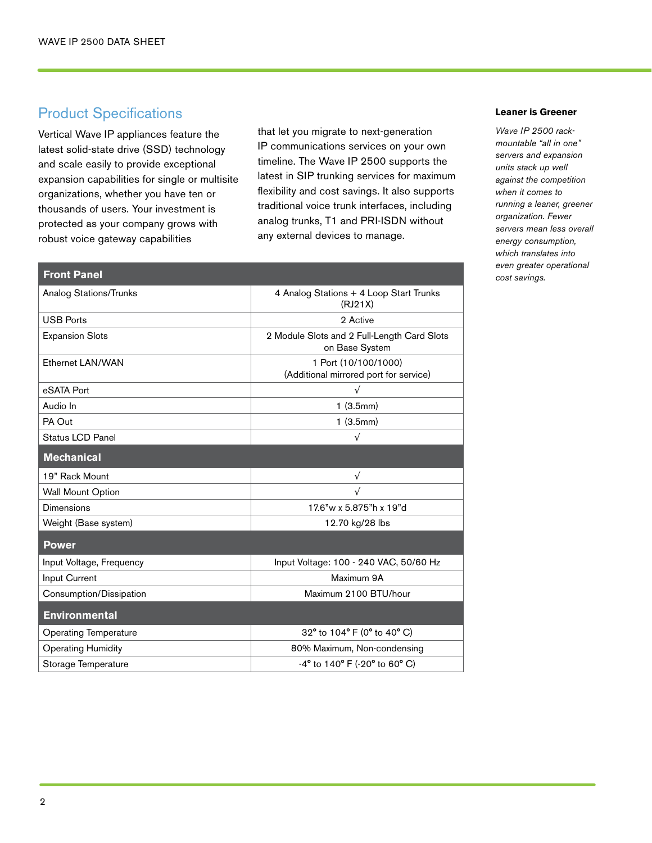### Product Specifications

**Front Panel**

Vertical Wave IP appliances feature the latest solid-state drive (SSD) technology and scale easily to provide exceptional expansion capabilities for single or multisite organizations, whether you have ten or thousands of users. Your investment is protected as your company grows with robust voice gateway capabilities

that let you migrate to next-generation IP communications services on your own timeline. The Wave IP 2500 supports the latest in SIP trunking services for maximum flexibility and cost savings. It also supports traditional voice trunk interfaces, including analog trunks, T1 and PRI-ISDN without any external devices to manage.

| <b>Analog Stations/Trunks</b> | 4 Analog Stations + 4 Loop Start Trunks<br>(RJ21X)                   |
|-------------------------------|----------------------------------------------------------------------|
| <b>USB Ports</b>              | 2 Active                                                             |
| <b>Expansion Slots</b>        | 2 Module Slots and 2 Full-Length Card Slots<br>on Base System        |
| Ethernet LAN/WAN              | 1 Port (10/100/1000)<br>(Additional mirrored port for service)       |
| eSATA Port                    | $\sqrt{ }$                                                           |
| Audio In                      | 1(3.5mm)                                                             |
| PA Out                        | 1(3.5mm)                                                             |
| Status LCD Panel              | $\sqrt{ }$                                                           |
| <b>Mechanical</b>             |                                                                      |
| 19" Rack Mount                | $\sqrt{}$                                                            |
| <b>Wall Mount Option</b>      | $\sqrt{}$                                                            |
| <b>Dimensions</b>             | 17.6"w x 5.875"h x 19"d                                              |
| Weight (Base system)          | 12.70 kg/28 lbs                                                      |
| <b>Power</b>                  |                                                                      |
| Input Voltage, Frequency      | Input Voltage: 100 - 240 VAC, 50/60 Hz                               |
| Input Current                 | Maximum 9A                                                           |
| Consumption/Dissipation       | Maximum 2100 BTU/hour                                                |
| <b>Environmental</b>          |                                                                      |
| <b>Operating Temperature</b>  | 32° to 104° F (0° to 40° C)                                          |
| <b>Operating Humidity</b>     | 80% Maximum, Non-condensing                                          |
| Storage Temperature           | $-4^{\circ}$ to 140 $^{\circ}$ F ( $-20^{\circ}$ to 60 $^{\circ}$ C) |

### **Leaner is Greener**

*Wave IP 2500 rackmountable "all in one" servers and expansion units stack up well against the competition when it comes to running a leaner, greener organization. Fewer servers mean less overall energy consumption, which translates into even greater operational cost savings.*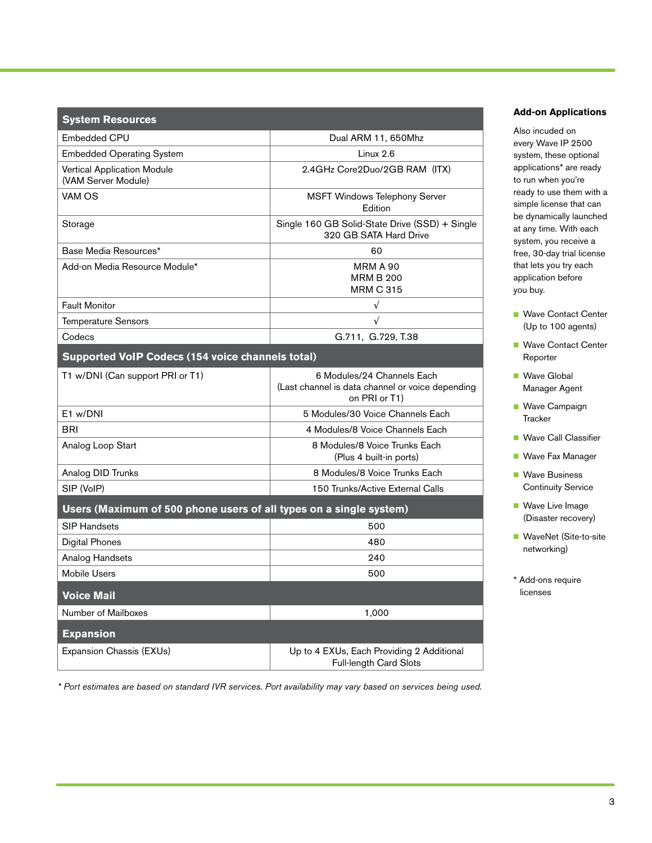| <b>System Resources</b>                                            |                                                                                                 |
|--------------------------------------------------------------------|-------------------------------------------------------------------------------------------------|
| Embedded CPU                                                       | Dual ARM 11, 650Mhz                                                                             |
| <b>Embedded Operating System</b>                                   | Linux 2.6                                                                                       |
| <b>Vertical Application Module</b><br>(VAM Server Module)          | 2.4GHz Core2Duo/2GB RAM (ITX)                                                                   |
| VAM OS                                                             | <b>MSFT Windows Telephony Server</b><br>Edition                                                 |
| Storage                                                            | Single 160 GB Solid-State Drive (SSD) + Single<br>320 GB SATA Hard Drive                        |
| Base Media Resources*                                              | 60                                                                                              |
| Add-on Media Resource Module*                                      | <b>MRM A 90</b><br><b>MRM B 200</b><br><b>MRM C 315</b>                                         |
| <b>Fault Monitor</b>                                               | $\sqrt{}$                                                                                       |
| <b>Temperature Sensors</b>                                         | $\sqrt{}$                                                                                       |
| Codecs                                                             | G.711, G.729, T.38                                                                              |
| <b>Supported VoIP Codecs (154 voice channels total)</b>            |                                                                                                 |
| T1 w/DNI (Can support PRI or T1)                                   | 6 Modules/24 Channels Each<br>(Last channel is data channel or voice depending<br>on PRI or T1) |
| F1 w/DNI                                                           | 5 Modules/30 Voice Channels Fach                                                                |
| BRI                                                                | 4 Modules/8 Voice Channels Each                                                                 |
| Analog Loop Start                                                  | 8 Modules/8 Voice Trunks Each<br>(Plus 4 built-in ports)                                        |
| Analog DID Trunks                                                  | 8 Modules/8 Voice Trunks Each                                                                   |
| SIP (VoIP)                                                         | 150 Trunks/Active External Calls                                                                |
| Users (Maximum of 500 phone users of all types on a single system) |                                                                                                 |
| <b>SIP Handsets</b>                                                | 500                                                                                             |
| <b>Digital Phones</b>                                              | 480                                                                                             |
| Analog Handsets                                                    | 240                                                                                             |
| <b>Mobile Users</b>                                                | 500                                                                                             |
| <b>Voice Mail</b>                                                  |                                                                                                 |
| Number of Mailboxes                                                | 1,000                                                                                           |
| <b>Expansion</b>                                                   |                                                                                                 |
| Expansion Chassis (EXUs)                                           | Up to 4 EXUs, Each Providing 2 Additional<br>Full-length Card Slots                             |

**Add-on Applications**

Also incuded on every Wave IP 2500 system, these optional applications\* are ready to run when you're ready to use them with a simple license that can be dynamically launched at any time. With each system, you receive a free, 30-day trial license that lets you try each application before you buy.

- Wave Contact Center (Up to 100 agents)
- Wave Contact Center Reporter
- **Nave Global** Manager Agent
- **Nave Campaign Tracker**
- Wave Call Classifier
- **Nave Fax Manager**
- **Nave Business** Continuity Service
- **Nave Live Image** (Disaster recovery)
- WaveNet (Site-to-site networking)
- \* Add-ons require licenses

*\* Port estimates are based on standard IVR services. Port availability may vary based on services being used.*